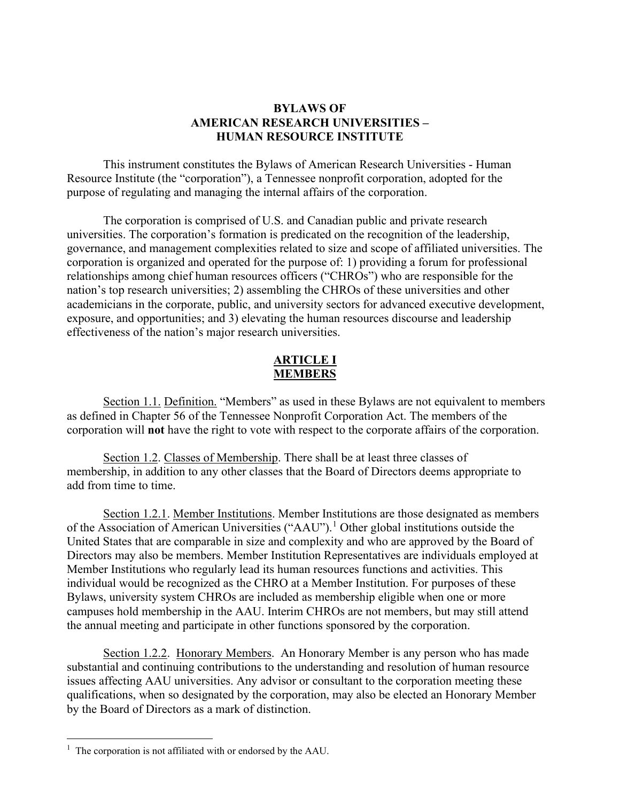# **BYLAWS OF AMERICAN RESEARCH UNIVERSITIES – HUMAN RESOURCE INSTITUTE**

This instrument constitutes the Bylaws of American Research Universities - Human Resource Institute (the "corporation"), a Tennessee nonprofit corporation, adopted for the purpose of regulating and managing the internal affairs of the corporation.

The corporation is comprised of U.S. and Canadian public and private research universities. The corporation's formation is predicated on the recognition of the leadership, governance, and management complexities related to size and scope of affiliated universities. The corporation is organized and operated for the purpose of: 1) providing a forum for professional relationships among chief human resources officers ("CHROs") who are responsible for the nation's top research universities; 2) assembling the CHROs of these universities and other academicians in the corporate, public, and university sectors for advanced executive development, exposure, and opportunities; and 3) elevating the human resources discourse and leadership effectiveness of the nation's major research universities.

# **ARTICLE I MEMBERS**

Section 1.1. Definition. "Members" as used in these Bylaws are not equivalent to members as defined in Chapter 56 of the Tennessee Nonprofit Corporation Act. The members of the corporation will **not** have the right to vote with respect to the corporate affairs of the corporation.

Section 1.2. Classes of Membership. There shall be at least three classes of membership, in addition to any other classes that the Board of Directors deems appropriate to add from time to time.

Section 1.2.1. Member Institutions. Member Institutions are those designated as members of the Association of American Universities ("AAU").[1](#page-0-0) Other global institutions outside the United States that are comparable in size and complexity and who are approved by the Board of Directors may also be members. Member Institution Representatives are individuals employed at Member Institutions who regularly lead its human resources functions and activities. This individual would be recognized as the CHRO at a Member Institution. For purposes of these Bylaws, university system CHROs are included as membership eligible when one or more campuses hold membership in the AAU. Interim CHROs are not members, but may still attend the annual meeting and participate in other functions sponsored by the corporation.

Section 1.2.2. Honorary Members. An Honorary Member is any person who has made substantial and continuing contributions to the understanding and resolution of human resource issues affecting AAU universities. Any advisor or consultant to the corporation meeting these qualifications, when so designated by the corporation, may also be elected an Honorary Member by the Board of Directors as a mark of distinction.

<span id="page-0-0"></span><sup>&</sup>lt;sup>1</sup> The corporation is not affiliated with or endorsed by the AAU.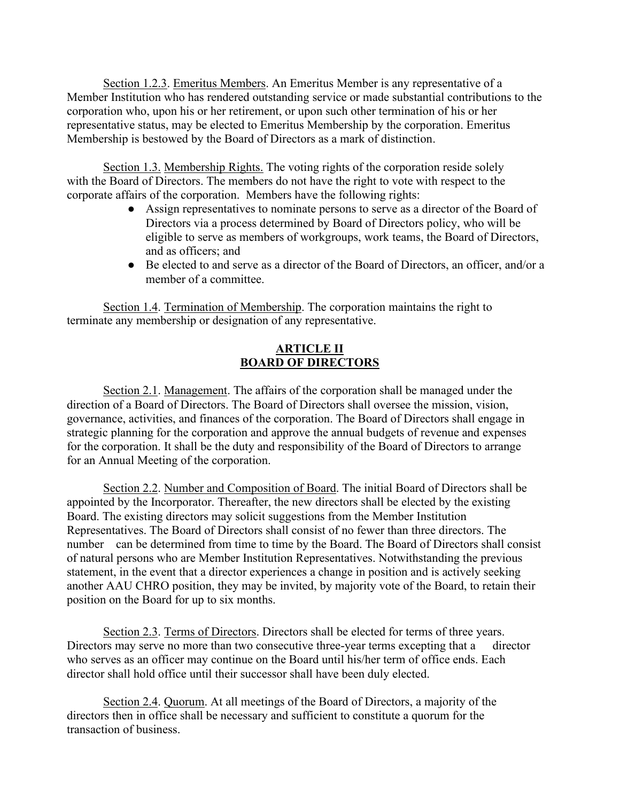Section 1.2.3. Emeritus Members. An Emeritus Member is any representative of a Member Institution who has rendered outstanding service or made substantial contributions to the corporation who, upon his or her retirement, or upon such other termination of his or her representative status, may be elected to Emeritus Membership by the corporation. Emeritus Membership is bestowed by the Board of Directors as a mark of distinction.

Section 1.3. Membership Rights. The voting rights of the corporation reside solely with the Board of Directors. The members do not have the right to vote with respect to the corporate affairs of the corporation. Members have the following rights:

- Assign representatives to nominate persons to serve as a director of the Board of Directors via a process determined by Board of Directors policy, who will be eligible to serve as members of workgroups, work teams, the Board of Directors, and as officers; and
- Be elected to and serve as a director of the Board of Directors, an officer, and/or a member of a committee.

Section 1.4. Termination of Membership. The corporation maintains the right to terminate any membership or designation of any representative.

# **ARTICLE II BOARD OF DIRECTORS**

Section 2.1. Management. The affairs of the corporation shall be managed under the direction of a Board of Directors. The Board of Directors shall oversee the mission, vision, governance, activities, and finances of the corporation. The Board of Directors shall engage in strategic planning for the corporation and approve the annual budgets of revenue and expenses for the corporation. It shall be the duty and responsibility of the Board of Directors to arrange for an Annual Meeting of the corporation.

Section 2.2. Number and Composition of Board. The initial Board of Directors shall be appointed by the Incorporator. Thereafter, the new directors shall be elected by the existing Board. The existing directors may solicit suggestions from the Member Institution Representatives. The Board of Directors shall consist of no fewer than three directors. The number can be determined from time to time by the Board. The Board of Directors shall consist of natural persons who are Member Institution Representatives. Notwithstanding the previous statement, in the event that a director experiences a change in position and is actively seeking another AAU CHRO position, they may be invited, by majority vote of the Board, to retain their position on the Board for up to six months.

Section 2.3. Terms of Directors. Directors shall be elected for terms of three years. Directors may serve no more than two consecutive three-year terms excepting that a director who serves as an officer may continue on the Board until his/her term of office ends. Each director shall hold office until their successor shall have been duly elected.

Section 2.4. Quorum. At all meetings of the Board of Directors, a majority of the directors then in office shall be necessary and sufficient to constitute a quorum for the transaction of business.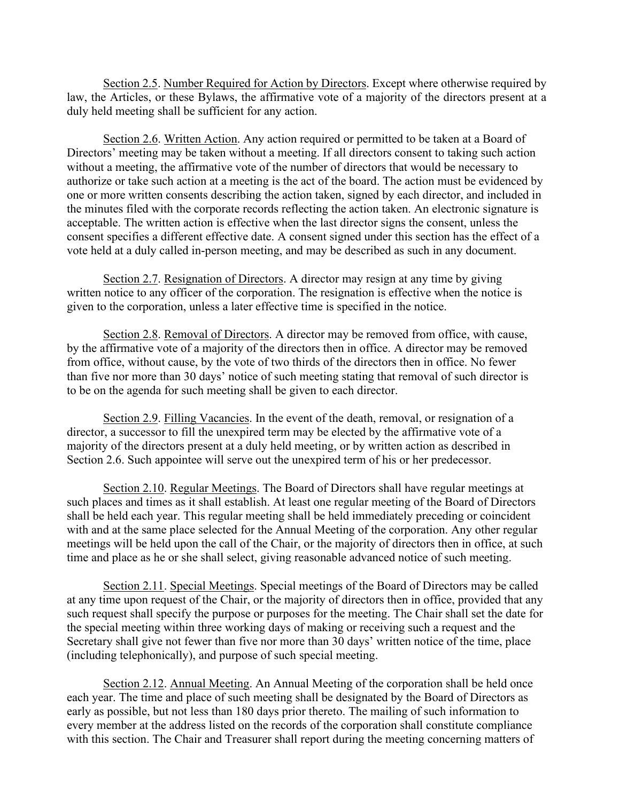Section 2.5. Number Required for Action by Directors. Except where otherwise required by law, the Articles, or these Bylaws, the affirmative vote of a majority of the directors present at a duly held meeting shall be sufficient for any action.

Section 2.6. Written Action. Any action required or permitted to be taken at a Board of Directors' meeting may be taken without a meeting. If all directors consent to taking such action without a meeting, the affirmative vote of the number of directors that would be necessary to authorize or take such action at a meeting is the act of the board. The action must be evidenced by one or more written consents describing the action taken, signed by each director, and included in the minutes filed with the corporate records reflecting the action taken. An electronic signature is acceptable. The written action is effective when the last director signs the consent, unless the consent specifies a different effective date. A consent signed under this section has the effect of a vote held at a duly called in-person meeting, and may be described as such in any document.

Section 2.7. Resignation of Directors. A director may resign at any time by giving written notice to any officer of the corporation. The resignation is effective when the notice is given to the corporation, unless a later effective time is specified in the notice.

Section 2.8. Removal of Directors. A director may be removed from office, with cause, by the affirmative vote of a majority of the directors then in office. A director may be removed from office, without cause, by the vote of two thirds of the directors then in office. No fewer than five nor more than 30 days' notice of such meeting stating that removal of such director is to be on the agenda for such meeting shall be given to each director.

Section 2.9. Filling Vacancies. In the event of the death, removal, or resignation of a director, a successor to fill the unexpired term may be elected by the affirmative vote of a majority of the directors present at a duly held meeting, or by written action as described in Section 2.6. Such appointee will serve out the unexpired term of his or her predecessor.

Section 2.10. Regular Meetings. The Board of Directors shall have regular meetings at such places and times as it shall establish. At least one regular meeting of the Board of Directors shall be held each year. This regular meeting shall be held immediately preceding or coincident with and at the same place selected for the Annual Meeting of the corporation. Any other regular meetings will be held upon the call of the Chair, or the majority of directors then in office, at such time and place as he or she shall select, giving reasonable advanced notice of such meeting.

Section 2.11. Special Meetings. Special meetings of the Board of Directors may be called at any time upon request of the Chair, or the majority of directors then in office, provided that any such request shall specify the purpose or purposes for the meeting. The Chair shall set the date for the special meeting within three working days of making or receiving such a request and the Secretary shall give not fewer than five nor more than 30 days' written notice of the time, place (including telephonically), and purpose of such special meeting.

Section 2.12. Annual Meeting. An Annual Meeting of the corporation shall be held once each year. The time and place of such meeting shall be designated by the Board of Directors as early as possible, but not less than 180 days prior thereto. The mailing of such information to every member at the address listed on the records of the corporation shall constitute compliance with this section. The Chair and Treasurer shall report during the meeting concerning matters of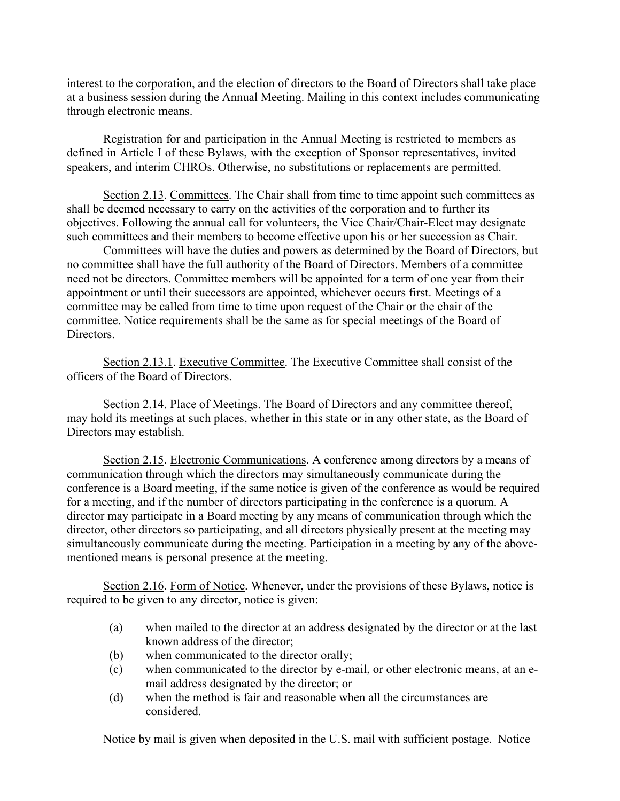interest to the corporation, and the election of directors to the Board of Directors shall take place at a business session during the Annual Meeting. Mailing in this context includes communicating through electronic means.

Registration for and participation in the Annual Meeting is restricted to members as defined in Article I of these Bylaws, with the exception of Sponsor representatives, invited speakers, and interim CHROs. Otherwise, no substitutions or replacements are permitted.

Section 2.13. Committees. The Chair shall from time to time appoint such committees as shall be deemed necessary to carry on the activities of the corporation and to further its objectives. Following the annual call for volunteers, the Vice Chair/Chair-Elect may designate such committees and their members to become effective upon his or her succession as Chair.

Committees will have the duties and powers as determined by the Board of Directors, but no committee shall have the full authority of the Board of Directors. Members of a committee need not be directors. Committee members will be appointed for a term of one year from their appointment or until their successors are appointed, whichever occurs first. Meetings of a committee may be called from time to time upon request of the Chair or the chair of the committee. Notice requirements shall be the same as for special meetings of the Board of Directors.

Section 2.13.1. Executive Committee. The Executive Committee shall consist of the officers of the Board of Directors.

Section 2.14. Place of Meetings. The Board of Directors and any committee thereof, may hold its meetings at such places, whether in this state or in any other state, as the Board of Directors may establish.

Section 2.15. Electronic Communications. A conference among directors by a means of communication through which the directors may simultaneously communicate during the conference is a Board meeting, if the same notice is given of the conference as would be required for a meeting, and if the number of directors participating in the conference is a quorum. A director may participate in a Board meeting by any means of communication through which the director, other directors so participating, and all directors physically present at the meeting may simultaneously communicate during the meeting. Participation in a meeting by any of the abovementioned means is personal presence at the meeting.

Section 2.16. Form of Notice. Whenever, under the provisions of these Bylaws, notice is required to be given to any director, notice is given:

- (a) when mailed to the director at an address designated by the director or at the last known address of the director;
- (b) when communicated to the director orally;
- (c) when communicated to the director by e-mail, or other electronic means, at an email address designated by the director; or
- (d) when the method is fair and reasonable when all the circumstances are considered.

Notice by mail is given when deposited in the U.S. mail with sufficient postage. Notice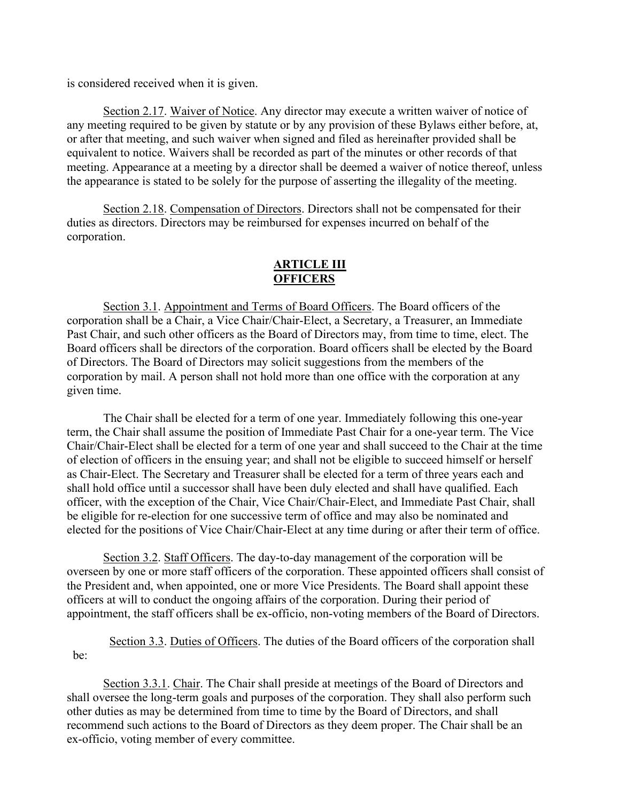is considered received when it is given.

Section 2.17. Waiver of Notice. Any director may execute a written waiver of notice of any meeting required to be given by statute or by any provision of these Bylaws either before, at, or after that meeting, and such waiver when signed and filed as hereinafter provided shall be equivalent to notice. Waivers shall be recorded as part of the minutes or other records of that meeting. Appearance at a meeting by a director shall be deemed a waiver of notice thereof, unless the appearance is stated to be solely for the purpose of asserting the illegality of the meeting.

Section 2.18. Compensation of Directors. Directors shall not be compensated for their duties as directors. Directors may be reimbursed for expenses incurred on behalf of the corporation.

# **ARTICLE III OFFICERS**

Section 3.1. Appointment and Terms of Board Officers. The Board officers of the corporation shall be a Chair, a Vice Chair/Chair-Elect, a Secretary, a Treasurer, an Immediate Past Chair, and such other officers as the Board of Directors may, from time to time, elect. The Board officers shall be directors of the corporation. Board officers shall be elected by the Board of Directors. The Board of Directors may solicit suggestions from the members of the corporation by mail. A person shall not hold more than one office with the corporation at any given time.

The Chair shall be elected for a term of one year. Immediately following this one-year term, the Chair shall assume the position of Immediate Past Chair for a one-year term. The Vice Chair/Chair-Elect shall be elected for a term of one year and shall succeed to the Chair at the time of election of officers in the ensuing year; and shall not be eligible to succeed himself or herself as Chair-Elect. The Secretary and Treasurer shall be elected for a term of three years each and shall hold office until a successor shall have been duly elected and shall have qualified. Each officer, with the exception of the Chair, Vice Chair/Chair-Elect, and Immediate Past Chair, shall be eligible for re-election for one successive term of office and may also be nominated and elected for the positions of Vice Chair/Chair-Elect at any time during or after their term of office.

Section 3.2. Staff Officers. The day-to-day management of the corporation will be overseen by one or more staff officers of the corporation. These appointed officers shall consist of the President and, when appointed, one or more Vice Presidents. The Board shall appoint these officers at will to conduct the ongoing affairs of the corporation. During their period of appointment, the staff officers shall be ex-officio, non-voting members of the Board of Directors.

Section 3.3. Duties of Officers. The duties of the Board officers of the corporation shall be:

Section 3.3.1. Chair. The Chair shall preside at meetings of the Board of Directors and shall oversee the long-term goals and purposes of the corporation. They shall also perform such other duties as may be determined from time to time by the Board of Directors, and shall recommend such actions to the Board of Directors as they deem proper. The Chair shall be an ex-officio, voting member of every committee.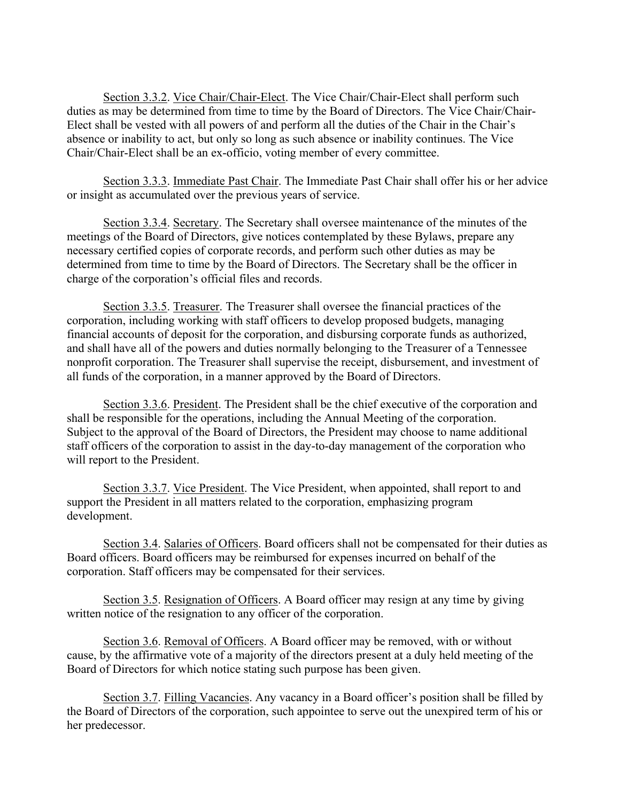Section 3.3.2. Vice Chair/Chair-Elect. The Vice Chair/Chair-Elect shall perform such duties as may be determined from time to time by the Board of Directors. The Vice Chair/Chair-Elect shall be vested with all powers of and perform all the duties of the Chair in the Chair's absence or inability to act, but only so long as such absence or inability continues. The Vice Chair/Chair-Elect shall be an ex-officio, voting member of every committee.

Section 3.3.3. Immediate Past Chair. The Immediate Past Chair shall offer his or her advice or insight as accumulated over the previous years of service.

Section 3.3.4. Secretary. The Secretary shall oversee maintenance of the minutes of the meetings of the Board of Directors, give notices contemplated by these Bylaws, prepare any necessary certified copies of corporate records, and perform such other duties as may be determined from time to time by the Board of Directors. The Secretary shall be the officer in charge of the corporation's official files and records.

Section 3.3.5. Treasurer. The Treasurer shall oversee the financial practices of the corporation, including working with staff officers to develop proposed budgets, managing financial accounts of deposit for the corporation, and disbursing corporate funds as authorized, and shall have all of the powers and duties normally belonging to the Treasurer of a Tennessee nonprofit corporation. The Treasurer shall supervise the receipt, disbursement, and investment of all funds of the corporation, in a manner approved by the Board of Directors.

Section 3.3.6. President. The President shall be the chief executive of the corporation and shall be responsible for the operations, including the Annual Meeting of the corporation. Subject to the approval of the Board of Directors, the President may choose to name additional staff officers of the corporation to assist in the day-to-day management of the corporation who will report to the President.

Section 3.3.7. Vice President. The Vice President, when appointed, shall report to and support the President in all matters related to the corporation, emphasizing program development.

Section 3.4. Salaries of Officers. Board officers shall not be compensated for their duties as Board officers. Board officers may be reimbursed for expenses incurred on behalf of the corporation. Staff officers may be compensated for their services.

Section 3.5. Resignation of Officers. A Board officer may resign at any time by giving written notice of the resignation to any officer of the corporation.

Section 3.6. Removal of Officers. A Board officer may be removed, with or without cause, by the affirmative vote of a majority of the directors present at a duly held meeting of the Board of Directors for which notice stating such purpose has been given.

Section 3.7. Filling Vacancies. Any vacancy in a Board officer's position shall be filled by the Board of Directors of the corporation, such appointee to serve out the unexpired term of his or her predecessor.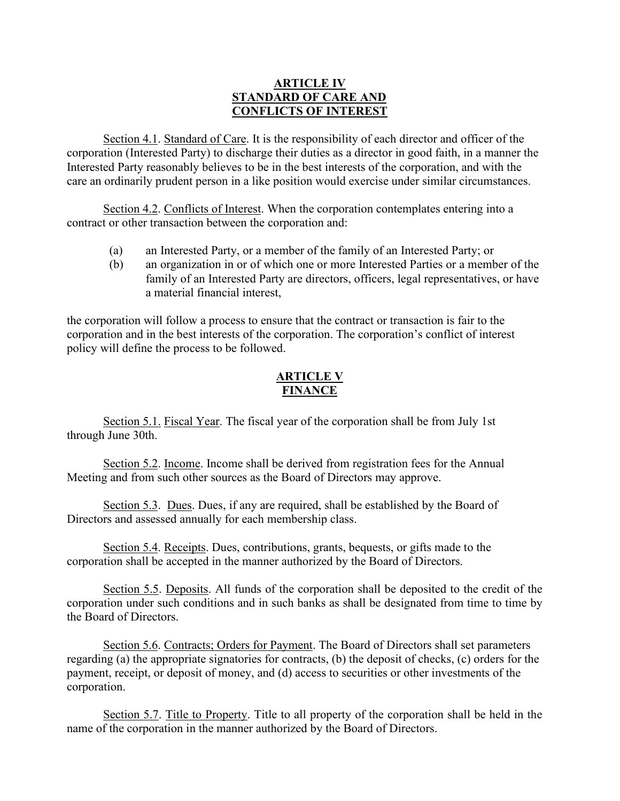# **ARTICLE IV STANDARD OF CARE AND CONFLICTS OF INTEREST**

Section 4.1. Standard of Care. It is the responsibility of each director and officer of the corporation (Interested Party) to discharge their duties as a director in good faith, in a manner the Interested Party reasonably believes to be in the best interests of the corporation, and with the care an ordinarily prudent person in a like position would exercise under similar circumstances.

Section 4.2. Conflicts of Interest. When the corporation contemplates entering into a contract or other transaction between the corporation and:

- (a) an Interested Party, or a member of the family of an Interested Party; or
- (b) an organization in or of which one or more Interested Parties or a member of the family of an Interested Party are directors, officers, legal representatives, or have a material financial interest,

the corporation will follow a process to ensure that the contract or transaction is fair to the corporation and in the best interests of the corporation. The corporation's conflict of interest policy will define the process to be followed.

# **ARTICLE V FINANCE**

Section 5.1. Fiscal Year. The fiscal year of the corporation shall be from July 1st through June 30th.

Section 5.2. Income. Income shall be derived from registration fees for the Annual Meeting and from such other sources as the Board of Directors may approve.

Section 5.3. Dues. Dues, if any are required, shall be established by the Board of Directors and assessed annually for each membership class.

Section 5.4. Receipts. Dues, contributions, grants, bequests, or gifts made to the corporation shall be accepted in the manner authorized by the Board of Directors.

Section 5.5. Deposits. All funds of the corporation shall be deposited to the credit of the corporation under such conditions and in such banks as shall be designated from time to time by the Board of Directors.

Section 5.6. Contracts; Orders for Payment. The Board of Directors shall set parameters regarding (a) the appropriate signatories for contracts, (b) the deposit of checks, (c) orders for the payment, receipt, or deposit of money, and (d) access to securities or other investments of the corporation.

Section 5.7. Title to Property. Title to all property of the corporation shall be held in the name of the corporation in the manner authorized by the Board of Directors.